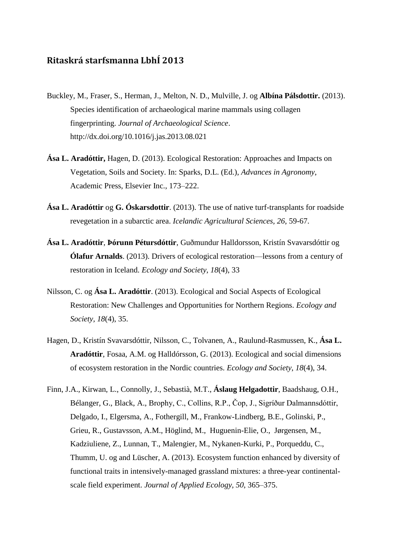## **Ritaskrá starfsmanna LbhÍ 2013**

- Buckley, M., Fraser, S., Herman, J., Melton, N. D., Mulville, J. og **Albína Pálsdottir.** (2013). Species identification of archaeological marine mammals using collagen fingerprinting. *Journal of Archaeological Science*. http://dx.doi.org/10.1016/j.jas.2013.08.021
- **Ása L. Aradóttir,** Hagen, D. (2013). Ecological Restoration: Approaches and Impacts on Vegetation, Soils and Society. In: Sparks, D.L. (Ed.), *Advances in Agronomy*, Academic Press, Elsevier Inc., 173–222.
- **Ása L. Aradóttir** og **G. Óskarsdottir**. (2013). The use of native turf-transplants for roadside revegetation in a subarctic area. *Icelandic Agricultural Sciences, 26*, 59-67.
- **Ása L. Aradóttir**, **Þórunn Pétursdóttir**, Guðmundur Halldorsson, Kristín Svavarsdóttir og **Ólafur Arnalds**. (2013). Drivers of ecological restoration—lessons from a century of restoration in Iceland. *Ecology and Society*, *18*(4), 33
- Nilsson, C. og **Ása L. Aradóttir**. (2013). Ecological and Social Aspects of Ecological Restoration: New Challenges and Opportunities for Northern Regions. *Ecology and Society, 18*(4), 35.
- Hagen, D., Kristín Svavarsdóttir, Nilsson, C., Tolvanen, A., Raulund-Rasmussen, K., **Ása L. Aradóttir**, Fosaa, A.M. og Halldórsson, G. (2013). Ecological and social dimensions of ecosystem restoration in the Nordic countries. *Ecology and Society*, *18*(4), 34.
- Finn, J.A., Kirwan, L., Connolly, J., Sebastià, M.T., **Áslaug Helgadottir**, Baadshaug, O.H., Bélanger, G., Black, A., Brophy, C., Collins, R.P., Čop, J., Sigríður Dalmannsdóttir, Delgado, I., Elgersma, A., Fothergill, M., Frankow-Lindberg, B.E., Golinski, P., Grieu, R., Gustavsson, A.M., Höglind, M., Huguenin-Elie, O., Jørgensen, M., Kadziuliene, Z., Lunnan, T., Malengier, M., Nykanen-Kurki, P., Porqueddu, C., Thumm, U. og and Lüscher, A. (2013). Ecosystem function enhanced by diversity of functional traits in intensively-managed grassland mixtures: a three-year continentalscale field experiment. *Journal of Applied Ecology, 50*, 365–375.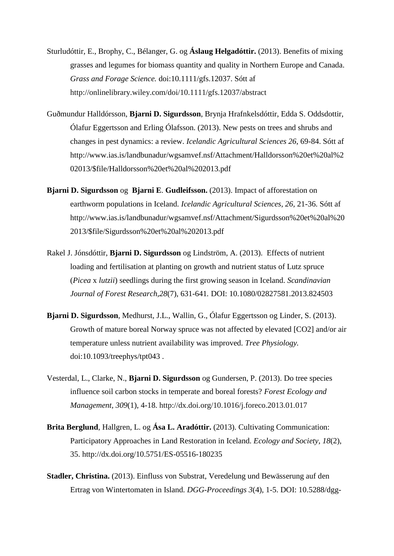- Sturludóttir, E., Brophy, C., Bélanger, G. og **Áslaug Helgadóttir.** (2013). Benefits of mixing grasses and legumes for biomass quantity and quality in Northern Europe and Canada. *Grass and Forage Science.* doi:10.1111/gfs.12037. Sótt af <http://onlinelibrary.wiley.com/doi/10.1111/gfs.12037/abstract>
- Guðmundur Halldórsson, **Bjarni D. Sigurdsson**, Brynja Hrafnkelsdóttir, Edda S. Oddsdottir, Ólafur Eggertsson and Erling Ólafsson. (2013). New pests on trees and shrubs and changes in pest dynamics: a review. *Icelandic Agricultural Sciences 26*, 69-84. Sótt af http://www.ias.is/landbunadur/wgsamvef.nsf/Attachment/Halldorsson%20et%20al%2 02013/\$file/Halldorsson%20et%20al%202013.pdf
- **Bjarni D. Sigurdsson** og **Bjarni E**. **Gudleifsson.** (2013). Impact of afforestation on earthworm populations in Iceland. *Icelandic Agricultural Sciences, 26,* 21-36. Sótt af http://www.ias.is/landbunadur/wgsamvef.nsf/Attachment/Sigurdsson%20et%20al%20 2013/\$file/Sigurdsson%20et%20al%202013.pdf
- Rakel J. Jónsdóttir, **Bjarni D. Sigurdsson** og Lindström, A. (2013). Effects of nutrient loading and fertilisation at planting on growth and nutrient status of Lutz spruce (*Picea* x *lutzii*) seedlings during the first growing season in Iceland. *Scandinavian Journal of Forest Research,28*(7), 631-641*.* DOI: 10.1080/02827581.2013.824503
- **Bjarni D. Sigurdsson**, Medhurst, J.L., Wallin, G., Ólafur Eggertsson og Linder, S. (2013). Growth of mature boreal Norway spruce was not affected by elevated [CO2] and/or air temperature unless nutrient availability was improved. *Tree Physiology.* doi:10.1093/treephys/tpt043 .
- Vesterdal, L., Clarke, N., **Bjarni D. Sigurdsson** og Gundersen, P. (2013). Do tree species influence soil carbon stocks in temperate and boreal forests? *Forest Ecology and Management, 309*(1), 4-18. http://dx.doi.org/10.1016/j.foreco.2013.01.017
- **Brita Berglund**, Hallgren, L. og **Ása L. Aradóttir.** (2013). Cultivating Communication: Participatory Approaches in Land Restoration in Iceland. *Ecology and Society, 18*(2), 35. http://dx.doi.org/10.5751/ES-05516-180235
- **Stadler, Christina.** (2013). Einfluss von Substrat, Veredelung und Bewässerung auf den Ertrag von Wintertomaten in Island. *DGG-Proceedings 3*(4), 1-5. DOI: 10.5288/dgg-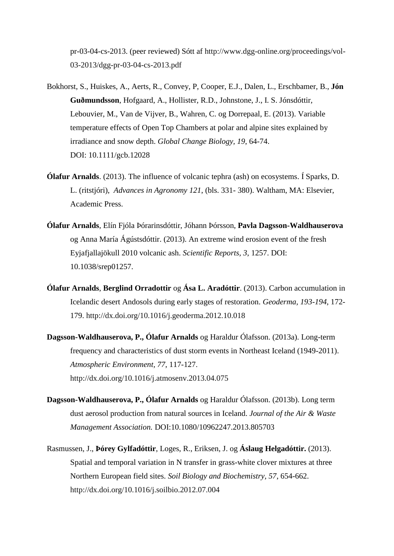pr-03-04-cs-2013. (peer reviewed) Sótt af [http://www.dgg-online.org/proceedings/vol-](http://www.dgg-online.org/proceedings/vol-03-2013/dgg-pr-03-04-cs-2013.pdf)[03-2013/dgg-pr-03-04-cs-2013.pdf](http://www.dgg-online.org/proceedings/vol-03-2013/dgg-pr-03-04-cs-2013.pdf)

- Bokhorst, S., Huiskes, A., Aerts, R., Convey, P, Cooper, E.J., Dalen, L., Erschbamer, B., **Jón Guðmundsson**, Hofgaard, A., Hollister, R.D., Johnstone, J., I. S. Jónsdóttir, Lebouvier, M., Van de Vijver, B., Wahren, C. og Dorrepaal, E. (2013). Variable temperature effects of Open Top Chambers at polar and alpine sites explained by irradiance and snow depth. *Global Change Biology, 19*, 64-74. DOI: 10.1111/gcb.12028
- **Ólafur Arnalds**. (2013). The influence of volcanic tephra (ash) on ecosystems. Í Sparks, D. L. (ritstjóri), *Advances in Agronomy 121*, (bls. 331- 380). Waltham, MA: Elsevier, Academic Press.
- **Ólafur Arnalds**, Elín Fjóla Þórarinsdóttir, Jóhann Þórsson, **Pavla Dagsson-Waldhauserova** og Anna María Ágústsdóttir. (2013). An extreme wind erosion event of the fresh Eyjafjallajökull 2010 volcanic ash. *Scientific Reports, 3*, 1257. DOI: 10.1038/srep01257.
- **Ólafur Arnalds**, **Berglind Orradottir** og **Ása L. Aradóttir**. (2013). Carbon accumulation in Icelandic desert Andosols during early stages of restoration. *Geoderma, 193-194*, 172- 179.<http://dx.doi.org/10.1016/j.geoderma.2012.10.018>
- **Dagsson-Waldhauserova, P., Ólafur Arnalds** og Haraldur Ólafsson. (2013a). Long-term frequency and characteristics of dust storm events in Northeast Iceland (1949-2011). *Atmospheric Environment, 77*, 117-127. <http://dx.doi.org/10.1016/j.atmosenv.2013.04.075>
- **Dagsson-Waldhauserova, P., Ólafur Arnalds** og Haraldur Ólafsson. (2013b). Long term dust aerosol production from natural sources in Iceland. *Journal of the Air & Waste Management Association.* DOI:10.1080/10962247.2013.805703
- Rasmussen, J., **Þórey Gylfadóttir**, Loges, R., Eriksen, J. og **Áslaug Helgadóttir.** (2013). Spatial and temporal variation in N transfer in grass-white clover mixtures at three Northern European field sites. *Soil Biology and Biochemistry, 57*, 654-662. <http://dx.doi.org/10.1016/j.soilbio.2012.07.004>